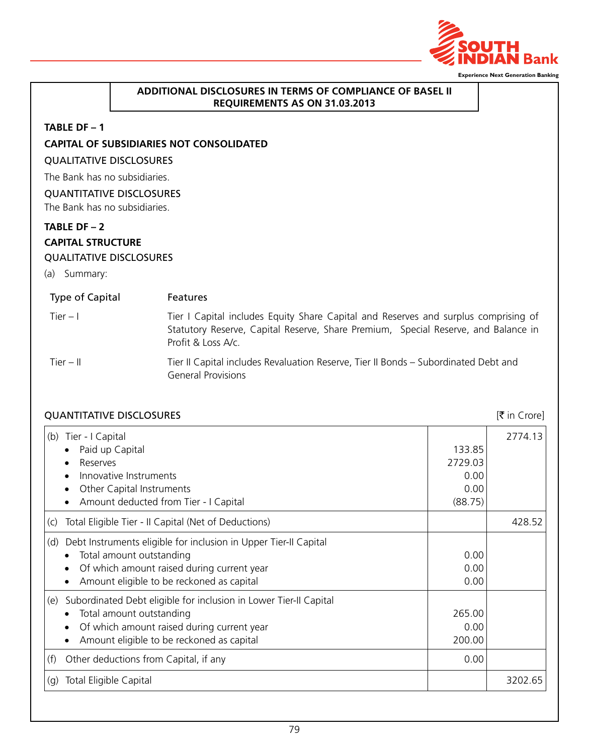

#### **Additional Disclosures in terms of compliance of basel II requirements as on 31.03.2013**

#### **TABLE DF – 1**

## **CAPITAL OF SUBSIDIARIES NOT CONSOLIDATED**

# Qualitative Disclosures

The Bank has no subsidiaries.

# Quantitative Disclosures

The Bank has no subsidiaries.

# **TABLE DF – 2**

# **CAPITAL STRUCTURE**

## Qualitative Disclosures

(a) Summary:

| Type of Capital | <b>Features</b>                                                                                                                                                                                 |
|-----------------|-------------------------------------------------------------------------------------------------------------------------------------------------------------------------------------------------|
| Tier $-1$       | Tier I Capital includes Equity Share Capital and Reserves and surplus comprising of<br>Statutory Reserve, Capital Reserve, Share Premium, Special Reserve, and Balance in<br>Profit & Loss A/c. |
| Tier $-$ II     | Tier II Capital includes Revaluation Reserve, Tier II Bonds - Subordinated Debt and<br><b>General Provisions</b>                                                                                |

| <b>QUANTITATIVE DISCLOSURES</b>                                                                                                                                                                                          |                                              | [₹ in Crore] |
|--------------------------------------------------------------------------------------------------------------------------------------------------------------------------------------------------------------------------|----------------------------------------------|--------------|
| (b)<br>Tier - I Capital<br>Paid up Capital<br>Reserves<br>Innovative Instruments<br>Other Capital Instruments<br>$\bullet$<br>Amount deducted from Tier - I Capital                                                      | 133.85<br>2729.03<br>0.00<br>0.00<br>(88.75) | 2774.13      |
| Total Eligible Tier - Il Capital (Net of Deductions)<br>(C)                                                                                                                                                              |                                              | 428.52       |
| Debt Instruments eligible for inclusion in Upper Tier-II Capital<br>(d)<br>Total amount outstanding<br>Of which amount raised during current year<br>$\bullet$<br>Amount eligible to be reckoned as capital<br>$\bullet$ | 0.00<br>0.00<br>0.00                         |              |
| Subordinated Debt eligible for inclusion in Lower Tier-II Capital<br>(e)<br>Total amount outstanding<br>٠<br>Of which amount raised during current year<br>$\bullet$<br>Amount eligible to be reckoned as capital        | 265.00<br>0.00<br>200.00                     |              |
| Other deductions from Capital, if any<br>(f)                                                                                                                                                                             | 0.00                                         |              |
| Total Eligible Capital<br>(g)                                                                                                                                                                                            |                                              | 3202.65      |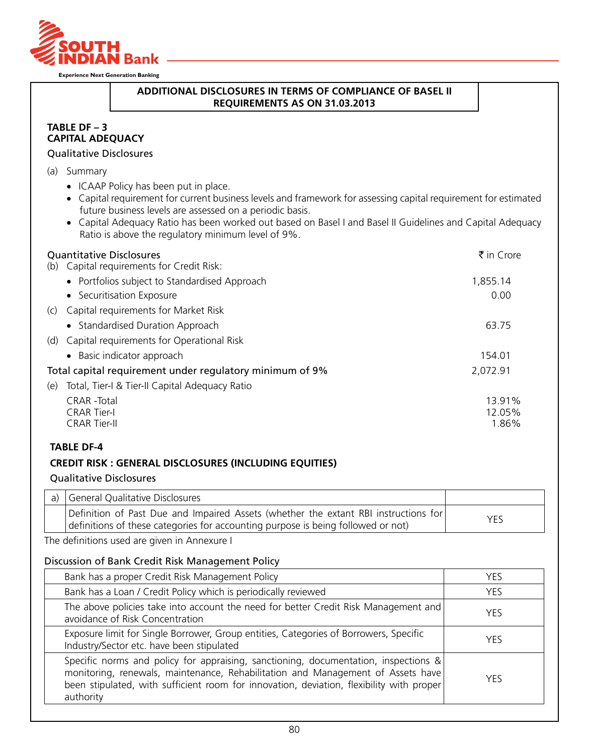

# **Additional Disclosures in terms of compliance of basel II requirements as on 31.03.2013**

#### **TABLE DF – 3 CAPITAL ADEQUACY**

#### Qualitative Disclosures

- (a) Summary
	- ICAAP Policy has been put in place.
	- • Capital requirement for current business levels and framework for assessing capital requirement for estimated future business levels are assessed on a periodic basis.
	- Capital Adequacy Ratio has been worked out based on Basel I and Basel II Guidelines and Capital Adequacy Ratio is above the regulatory minimum level of 9%.

| <b>Quantitative Disclosures</b><br>(b) Capital requirements for Credit Risk: | ₹ in Crore       |
|------------------------------------------------------------------------------|------------------|
| • Portfolios subject to Standardised Approach                                | 1,855.14         |
| • Securitisation Exposure                                                    | 0.00             |
| (c) Capital requirements for Market Risk                                     |                  |
| • Standardised Duration Approach                                             | 63.75            |
| (d) Capital requirements for Operational Risk                                |                  |
| • Basic indicator approach                                                   | 154.01           |
| Total capital requirement under regulatory minimum of 9%                     | 2,072.91         |
| Total, Tier-I & Tier-II Capital Adequacy Ratio<br>(e)                        |                  |
| <b>CRAR</b> - Total<br><b>CRAR Tier-I</b>                                    | 13.91%<br>12.05% |
| <b>CRAR Tier-II</b>                                                          | 1.86%            |

## **TABLE DF-4**

#### **CREDIT RISK : GENERAL DISCLOSURES (INCLUDING EQUITIES)**

#### Qualitative Disclosures

| a) General Qualitative Disclosures                                                                                                                                      |            |
|-------------------------------------------------------------------------------------------------------------------------------------------------------------------------|------------|
| Definition of Past Due and Impaired Assets (whether the extant RBI instructions for<br>definitions of these categories for accounting purpose is being followed or not) | <b>YES</b> |

The definitions used are given in Annexure I

#### Discussion of Bank Credit Risk Management Policy

| Bank has a proper Credit Risk Management Policy                                                                                                                                                                                                                                 | <b>YFS</b> |
|---------------------------------------------------------------------------------------------------------------------------------------------------------------------------------------------------------------------------------------------------------------------------------|------------|
| Bank has a Loan / Credit Policy which is periodically reviewed                                                                                                                                                                                                                  | <b>YES</b> |
| The above policies take into account the need for better Credit Risk Management and<br>avoidance of Risk Concentration                                                                                                                                                          | <b>YFS</b> |
| Exposure limit for Single Borrower, Group entities, Categories of Borrowers, Specific<br>Industry/Sector etc. have been stipulated                                                                                                                                              | <b>YFS</b> |
| Specific norms and policy for appraising, sanctioning, documentation, inspections &<br>monitoring, renewals, maintenance, Rehabilitation and Management of Assets have<br>been stipulated, with sufficient room for innovation, deviation, flexibility with proper<br>authority | <b>YFS</b> |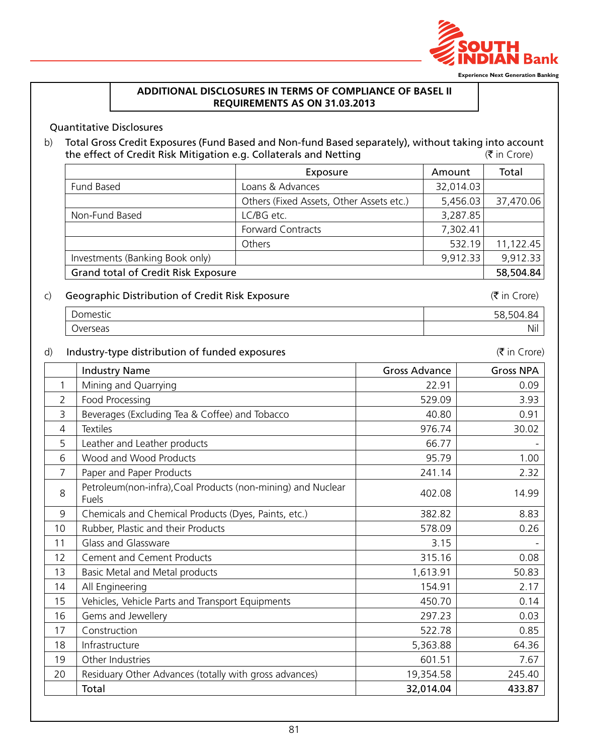

## **Additional Disclosures in terms of compliance of basel II requirements as on 31.03.2013**

#### Quantitative Disclosures

b) Total Gross Credit Exposures (Fund Based and Non-fund Based separately), without taking into account the effect of Credit Risk Mitigation e.g. Collaterals and Netting  $(\bar{\tau})$  in Crore)

|                                     | Exposure                                 | Amount    | Total     |
|-------------------------------------|------------------------------------------|-----------|-----------|
| Fund Based                          | Loans & Advances                         | 32,014.03 |           |
|                                     | Others (Fixed Assets, Other Assets etc.) | 5,456.03  | 37,470.06 |
| Non-Fund Based                      | LC/BG etc.                               | 3,287.85  |           |
|                                     | <b>Forward Contracts</b>                 | 7,302.41  |           |
|                                     | Others                                   | 532.19    | 11,122.45 |
| Investments (Banking Book only)     |                                          | 9,912.33  | 9,912.33  |
| Grand total of Credit Risk Exposure |                                          |           | 58,504.84 |

# c) Geographic Distribution of Credit Risk Exposure  $(\bar{z})$  in Crore)

| ∽<br>ס גור<br>◡                             | ۔  |
|---------------------------------------------|----|
| $\overline{\phantom{0}}$<br>Ner<br>∼<br>--- | 'N |

### d) Industry-type distribution of funded exposures ( $\vec{\tau}$  in Crore)

|    | <b>Industry Name</b>                                                  | Gross Advance | <b>Gross NPA</b> |
|----|-----------------------------------------------------------------------|---------------|------------------|
| 1  | Mining and Quarrying                                                  | 22.91         | 0.09             |
| 2  | Food Processing                                                       | 529.09        | 3.93             |
| 3  | Beverages (Excluding Tea & Coffee) and Tobacco                        | 40.80         | 0.91             |
| 4  | <b>Textiles</b>                                                       | 976.74        | 30.02            |
| 5  | Leather and Leather products                                          | 66.77         |                  |
| 6  | Wood and Wood Products                                                | 95.79         | 1.00             |
| 7  | Paper and Paper Products                                              | 241.14        | 2.32             |
| 8  | Petroleum(non-infra), Coal Products (non-mining) and Nuclear<br>Fuels | 402.08        | 14.99            |
| 9  | Chemicals and Chemical Products (Dyes, Paints, etc.)                  | 382.82        | 8.83             |
| 10 | Rubber, Plastic and their Products                                    | 578.09        | 0.26             |
| 11 | Glass and Glassware                                                   | 3.15          |                  |
| 12 | <b>Cement and Cement Products</b>                                     | 315.16        | 0.08             |
| 13 | Basic Metal and Metal products                                        | 1,613.91      | 50.83            |
| 14 | All Engineering                                                       | 154.91        | 2.17             |
| 15 | Vehicles, Vehicle Parts and Transport Equipments                      | 450.70        | 0.14             |
| 16 | Gems and Jewellery                                                    | 297.23        | 0.03             |
| 17 | Construction                                                          | 522.78        | 0.85             |
| 18 | Infrastructure                                                        | 5,363.88      | 64.36            |
| 19 | Other Industries                                                      | 601.51        | 7.67             |
| 20 | Residuary Other Advances (totally with gross advances)                | 19,354.58     | 245.40           |
|    | Total                                                                 | 32,014.04     | 433.87           |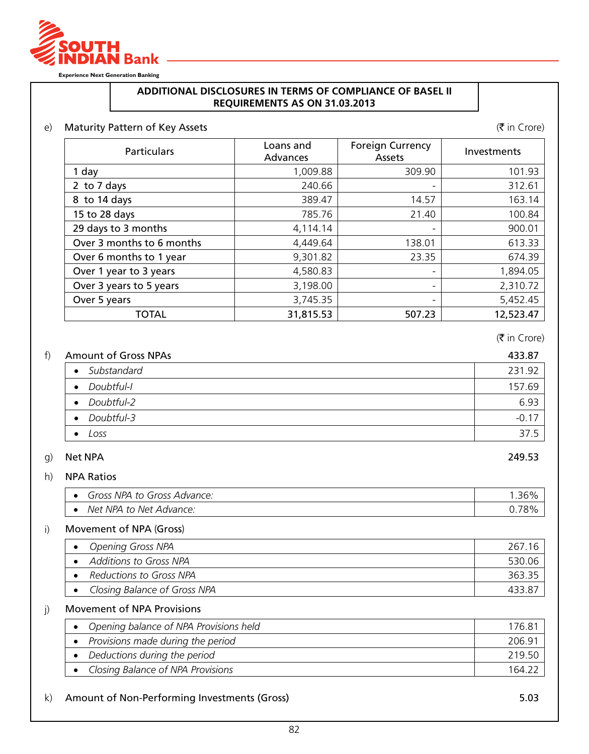

## **Additional Disclosures in terms of compliance of basel II requirements as on 31.03.2013**

# e) Maturity Pattern of Key Assets ( $\vec{\tau}$  in Crore)

| <b>Particulars</b>        | Loans and<br>Advances | <b>Foreign Currency</b><br>Assets | Investments |
|---------------------------|-----------------------|-----------------------------------|-------------|
| 1 day                     | 1,009.88              | 309.90                            | 101.93      |
| 2 to 7 days               | 240.66                |                                   | 312.61      |
| 8 to 14 days              | 389.47                | 14.57                             | 163.14      |
| 15 to 28 days             | 785.76                | 21.40                             | 100.84      |
| 29 days to 3 months       | 4,114.14              |                                   | 900.01      |
| Over 3 months to 6 months | 4,449.64              | 138.01                            | 613.33      |
| Over 6 months to 1 year   | 9,301.82              | 23.35                             | 674.39      |
| Over 1 year to 3 years    | 4,580.83              |                                   | 1,894.05    |
| Over 3 years to 5 years   | 3,198.00              |                                   | 2,310.72    |
| Over 5 years              | 3,745.35              |                                   | 5,452.45    |
| <b>TOTAL</b>              | 31,815.53             | 507.23                            | 12,523.47   |

(₹ in Crore)

| <b>Amount of Gross NPAs</b> | 433.87  |
|-----------------------------|---------|
| Substandard<br>$\bullet$    | 231.92  |
| Doubtful-l<br>$\bullet$     | 157.69  |
| Doubtful-2<br>$\bullet$     | 6.93    |
| Doubtful-3<br>$\bullet$     | $-0.17$ |
| Loss<br>٠                   | 37.5    |

# g) Net NPA 249.53

# h) NPA Ratios

|           | NPA<br>Gross<br>Advance:<br>Gross<br>to |  |
|-----------|-----------------------------------------|--|
| $\bullet$ | Net NPA to<br>Net<br>: Advance:         |  |

#### i) Movement of NPA (Gross)

| <b>Opening Gross NPA</b>     | 267.   |
|------------------------------|--------|
| Additions to Gross NPA       | 530.06 |
| Reductions to Gross NPA      | 363.35 |
| Closing Balance of Gross NPA |        |

#### j) Movement of NPA Provisions

| Opening balance of NPA Provisions held | 176.81 |
|----------------------------------------|--------|
| Provisions made during the period      | 206.91 |
| Deductions during the period           | 219.50 |
| Closing Balance of NPA Provisions      | 164 1  |

#### k) Amount of Non-Performing Investments (Gross) 5.03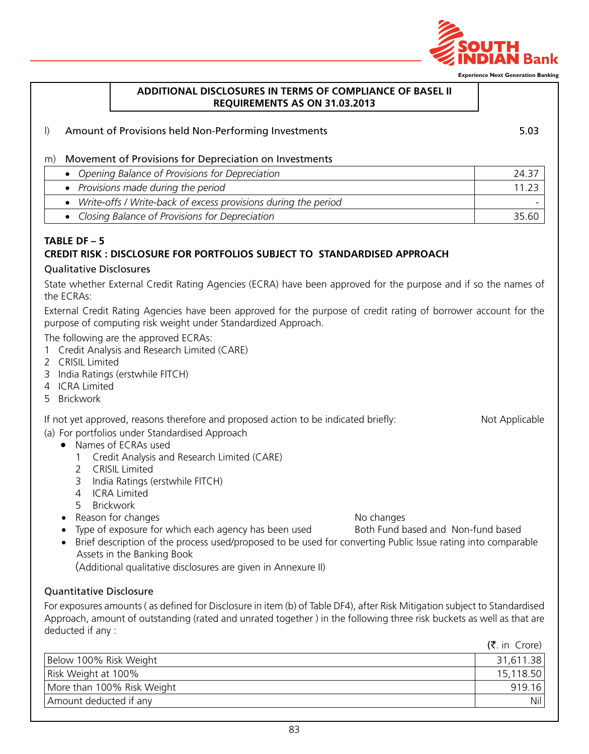

## **Additional Disclosures in terms of compliance of basel II requirements as on 31.03.2013**

l) Amount of Provisions held Non-Performing Investments 5.03

#### m) Movement of Provisions for Depreciation on Investments

| • Opening Balance of Provisions for Depreciation                 | 24.37 |
|------------------------------------------------------------------|-------|
| • Provisions made during the period                              | 11.23 |
| • Write-offs / Write-back of excess provisions during the period |       |
| • Closing Balance of Provisions for Depreciation                 | 35.60 |

# **TABLE DF – 5 CREDIT RISK : DISCLOSURE FOR PORTFOLIOS SUBJECT TO STANDARDISED APPROACH**

## Qualitative Disclosures

State whether External Credit Rating Agencies (ECRA) have been approved for the purpose and if so the names of the ECRAs:

External Credit Rating Agencies have been approved for the purpose of credit rating of borrower account for the purpose of computing risk weight under Standardized Approach.

The following are the approved ECRAs:

- 1 Credit Analysis and Research Limited (CARE)
- 2 CRISIL Limited
- 3 India Ratings (erstwhile FITCH)
- 4 ICRA Limited
- 5 Brickwork

If not yet approved, reasons therefore and proposed action to be indicated briefly: Not Applicable

- (a) For portfolios under Standardised Approach
	- Names of FCRAs used
		- 1 Credit Analysis and Research Limited (CARE)
		- 2 CRISIL Limited
		- 3 India Ratings (erstwhile FITCH)
		- 4 ICRA Limited
		- 5 Brickwork
	- Reason for changes **No changes** No changes
	- Type of exposure for which each agency has been used Both Fund based and Non-fund based
	- Brief description of the process used/proposed to be used for converting Public Issue rating into comparable Assets in the Banking Book

(Additional qualitative disclosures are given in Annexure II)

## Quantitative Disclosure

For exposures amounts ( as defined for Disclosure in item (b) of Table DF4), after Risk Mitigation subject to Standardised Approach, amount of outstanding (rated and unrated together ) in the following three risk buckets as well as that are deducted if any :

 $(\bar{z})$  in Crore)

| Below 100% Risk Weight     | 31,611.38 |
|----------------------------|-----------|
| Risk Weight at 100%        | 15,118.50 |
| More than 100% Risk Weight | 919.16    |
| Amount deducted if any     | Nil l     |
|                            |           |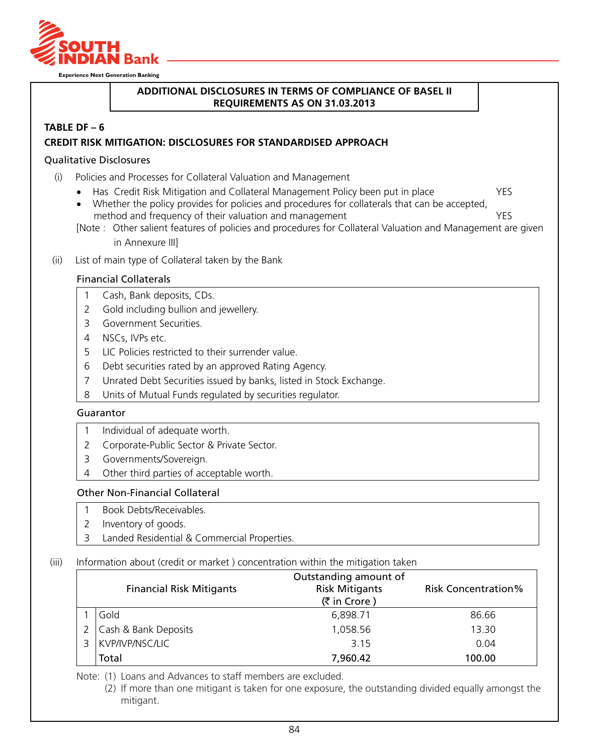

## **Additional Disclosures in terms of compliance of basel II requirements as on 31.03.2013**

#### **TABLE DF – 6**

#### **CREDIT RISK MITIGATION: DISCLOSURES FOR STANDARDISED APPROACH**

#### Qualitative Disclosures

- (i) Policies and Processes for Collateral Valuation and Management
	- Has Credit Risk Mitigation and Collateral Management Policy been put in place YES
	- Whether the policy provides for policies and procedures for collaterals that can be accepted, method and frequency of their valuation and management **YES**
	- [Note : Other salient features of policies and procedures for Collateral Valuation and Management are given in Annexure III]
- (ii) List of main type of Collateral taken by the Bank

#### Financial Collaterals

- 1 Cash, Bank deposits, CDs.
- 2 Gold including bullion and jewellery.
- 3 Government Securities.
- 4 NSCs, IVPs etc.
- 5 LIC Policies restricted to their surrender value.
- 6 Debt securities rated by an approved Rating Agency.
- 7 Unrated Debt Securities issued by banks, listed in Stock Exchange.
- 8 Units of Mutual Funds regulated by securities regulator.

#### Guarantor

- 1 Individual of adequate worth.
- 2 Corporate-Public Sector & Private Sector.
- 3 Governments/Sovereign.
- 4 Other third parties of acceptable worth.

#### Other Non-Financial Collateral

- 1 Book Debts/Receivables.
- 2 Inventory of goods.
- 3 Landed Residential & Commercial Properties.

#### (iii) Information about (credit or market ) concentration within the mitigation taken

| <b>Financial Risk Mitigants</b> | Outstanding amount of<br><b>Risk Mitigants</b><br>(₹ in Crore) | <b>Risk Concentration%</b> |
|---------------------------------|----------------------------------------------------------------|----------------------------|
| Gold                            | 6,898.71                                                       | 86.66                      |
| Cash & Bank Deposits            | 1,058.56                                                       | 13.30                      |
| KVP/IVP/NSC/LIC                 | 3.15                                                           | 0.04                       |
| Total                           | 7,960.42                                                       | 100.00                     |

Note: (1) Loans and Advances to staff members are excluded.

(2) If more than one mitigant is taken for one exposure, the outstanding divided equally amongst the mitigant.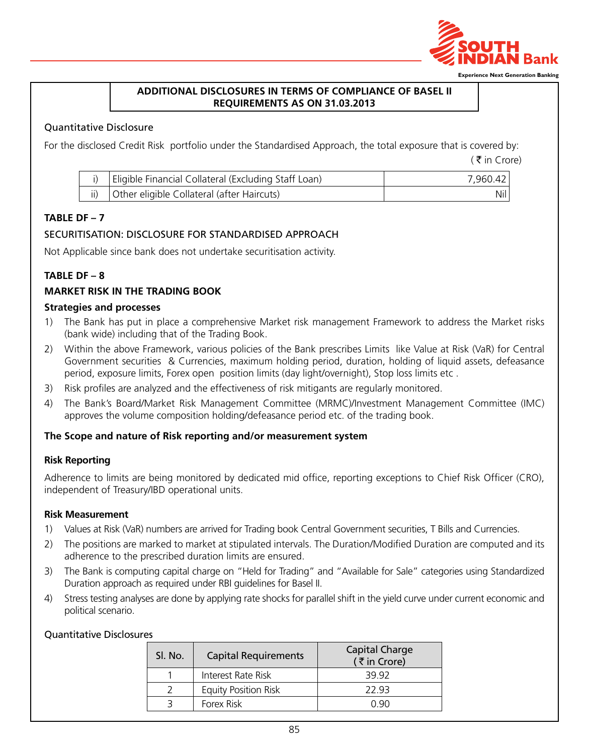

#### **Additional Disclosures in terms of compliance of basel II requirements as on 31.03.2013**

### Quantitative Disclosure

For the disclosed Credit Risk portfolio under the Standardised Approach, the total exposure that is covered by:

 $($   $\bar{\tau}$  in Crore)

| Eligible Financial Collateral (Excluding Staff Loan) | 7.960.42 |
|------------------------------------------------------|----------|
| Other eligible Collateral (after Haircuts)           | Nil      |

## **TABLE DF – 7**

## SECURITISATION: DISCLOSURE FOR STANDARDISED APPROACH

Not Applicable since bank does not undertake securitisation activity.

# **TABLE DF – 8**

# **Market Risk In the Trading Book**

#### **Strategies and processes**

- 1) The Bank has put in place a comprehensive Market risk management Framework to address the Market risks (bank wide) including that of the Trading Book.
- 2) Within the above Framework, various policies of the Bank prescribes Limits like Value at Risk (VaR) for Central Government securities & Currencies, maximum holding period, duration, holding of liquid assets, defeasance period, exposure limits, Forex open position limits (day light/overnight), Stop loss limits etc .
- 3) Risk profiles are analyzed and the effectiveness of risk mitigants are regularly monitored.
- 4) The Bank's Board/Market Risk Management Committee (MRMC)/Investment Management Committee (IMC) approves the volume composition holding/defeasance period etc. of the trading book.

## **The Scope and nature of Risk reporting and/or measurement system**

#### **Risk Reporting**

Adherence to limits are being monitored by dedicated mid office, reporting exceptions to Chief Risk Officer (CRO), independent of Treasury/IBD operational units.

#### **Risk Measurement**

- 1) Values at Risk (VaR) numbers are arrived for Trading book Central Government securities, T Bills and Currencies.
- 2) The positions are marked to market at stipulated intervals. The Duration/Modified Duration are computed and its adherence to the prescribed duration limits are ensured.
- 3) The Bank is computing capital charge on "Held for Trading" and "Available for Sale" categories using Standardized Duration approach as required under RBI guidelines for Basel II.
- 4) Stress testing analyses are done by applying rate shocks for parallel shift in the yield curve under current economic and political scenario.

### Quantitative Disclosures

| Sl. No. | <b>Capital Requirements</b> | Capital Charge<br>(₹in Crore) |
|---------|-----------------------------|-------------------------------|
|         | Interest Rate Risk          | 39.92                         |
|         | <b>Equity Position Risk</b> | 22.93                         |
|         | Forex Risk                  | N 90                          |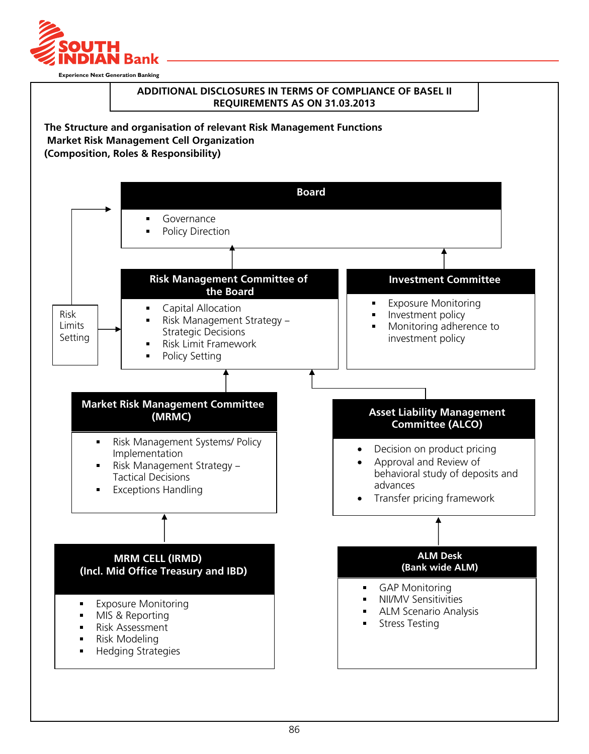

## **Additional Disclosures in terms of compliance of basel II requirements as on 31.03.2013**

**The Structure and organisation of relevant Risk Management Functions Market Risk Management Cell Organization (Composition, Roles & Responsibility)**

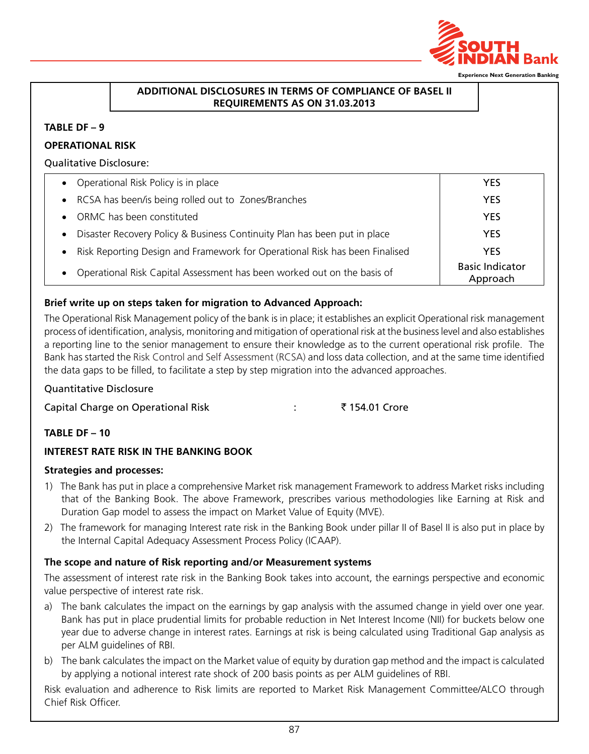

# **Additional Disclosures in terms of compliance of basel II requirements as on 31.03.2013**

#### **TABLE DF – 9**

## **OPERATIONAL RISK**

#### Qualitative Disclosure:

| • Operational Risk Policy is in place                                                  | <b>YES</b>                         |
|----------------------------------------------------------------------------------------|------------------------------------|
| RCSA has been/is being rolled out to Zones/Branches<br>$\bullet$                       | <b>YES</b>                         |
| ORMC has been constituted                                                              | <b>YES</b>                         |
| Disaster Recovery Policy & Business Continuity Plan has been put in place<br>$\bullet$ | <b>YES</b>                         |
| Risk Reporting Design and Framework for Operational Risk has been Finalised            | <b>YES</b>                         |
| Operational Risk Capital Assessment has been worked out on the basis of                | <b>Basic Indicator</b><br>Approach |

# **Brief write up on steps taken for migration to Advanced Approach:**

The Operational Risk Management policy of the bank is in place; it establishes an explicit Operational risk management process of identification, analysis, monitoring and mitigation of operational risk at the business level and also establishes a reporting line to the senior management to ensure their knowledge as to the current operational risk profile. The Bank has started the Risk Control and Self Assessment (RCSA) and loss data collection, and at the same time identified the data gaps to be filled, to facilitate a step by step migration into the advanced approaches.

## Quantitative Disclosure

Capital Charge on Operational Risk : ₹ 154.01 Crore

## **TABLE DF – 10**

## **Interest rate Risk In the Banking Book**

## **Strategies and processes:**

- 1) The Bank has put in place a comprehensive Market risk management Framework to address Market risks including that of the Banking Book. The above Framework, prescribes various methodologies like Earning at Risk and Duration Gap model to assess the impact on Market Value of Equity (MVE).
- 2) The framework for managing Interest rate risk in the Banking Book under pillar II of Basel II is also put in place by the Internal Capital Adequacy Assessment Process Policy (ICAAP).

## **The scope and nature of Risk reporting and/or Measurement systems**

The assessment of interest rate risk in the Banking Book takes into account, the earnings perspective and economic value perspective of interest rate risk.

- a) The bank calculates the impact on the earnings by gap analysis with the assumed change in yield over one year. Bank has put in place prudential limits for probable reduction in Net Interest Income (NII) for buckets below one year due to adverse change in interest rates. Earnings at risk is being calculated using Traditional Gap analysis as per ALM guidelines of RBI.
- b) The bank calculates the impact on the Market value of equity by duration gap method and the impact is calculated by applying a notional interest rate shock of 200 basis points as per ALM guidelines of RBI.

Risk evaluation and adherence to Risk limits are reported to Market Risk Management Committee/ALCO through Chief Risk Officer.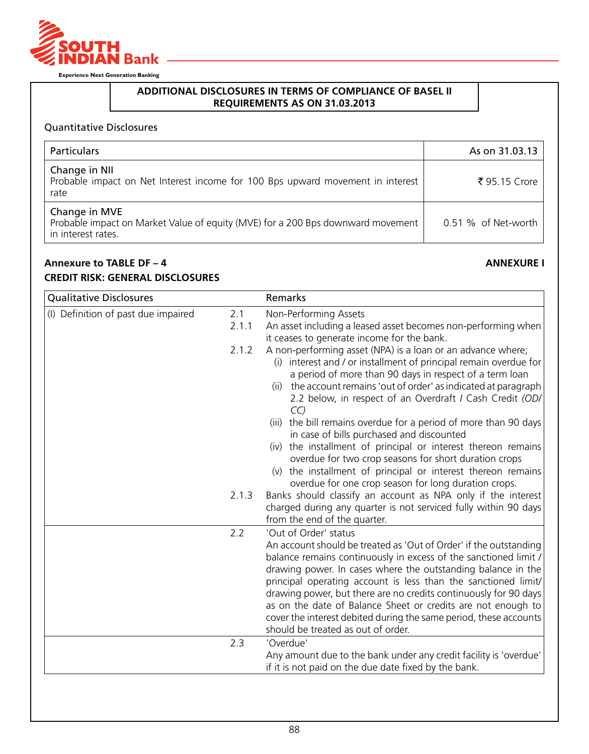

# **Additional Disclosures in terms of compliance of basel II requirements as on 31.03.2013**

# Quantitative Disclosures

| Particulars                                                                                                            | As on 31.03.13      |
|------------------------------------------------------------------------------------------------------------------------|---------------------|
| Change in NII<br>Probable impact on Net Interest income for 100 Bps upward movement in interest<br>rate                | ₹ 95.15 Crore       |
| Change in MVE<br>Probable impact on Market Value of equity (MVE) for a 200 Bps downward movement<br>in interest rates. | 0.51 % of Net-worth |

# **Annexure to TABLE DF – 4 ANNEXURE I**

# **Credit Risk: General Disclosures**

|              | Remarks                                                                                                                                                                                                                                                                                                                                                                                                                                                                                                                                         |
|--------------|-------------------------------------------------------------------------------------------------------------------------------------------------------------------------------------------------------------------------------------------------------------------------------------------------------------------------------------------------------------------------------------------------------------------------------------------------------------------------------------------------------------------------------------------------|
| 2.1<br>2.1.1 | Non-Performing Assets<br>An asset including a leased asset becomes non-performing when<br>it ceases to generate income for the bank.                                                                                                                                                                                                                                                                                                                                                                                                            |
| 2.1.2        | A non-performing asset (NPA) is a loan or an advance where;<br>(i) interest and / or installment of principal remain overdue for<br>a period of more than 90 days in respect of a term loan<br>(ii) the account remains 'out of order' as indicated at paragraph<br>2.2 below, in respect of an Overdraft / Cash Credit (OD/<br>CC                                                                                                                                                                                                              |
|              | (iii) the bill remains overdue for a period of more than 90 days<br>in case of bills purchased and discounted<br>(iv) the installment of principal or interest thereon remains<br>overdue for two crop seasons for short duration crops<br>(v) the installment of principal or interest thereon remains<br>overdue for one crop season for long duration crops.                                                                                                                                                                                 |
|              | Banks should classify an account as NPA only if the interest<br>charged during any quarter is not serviced fully within 90 days<br>from the end of the quarter.                                                                                                                                                                                                                                                                                                                                                                                 |
| 2.2          | 'Out of Order' status<br>An account should be treated as 'Out of Order' if the outstanding<br>balance remains continuously in excess of the sanctioned limit /<br>drawing power. In cases where the outstanding balance in the<br>principal operating account is less than the sanctioned limit/<br>drawing power, but there are no credits continuously for 90 days<br>as on the date of Balance Sheet or credits are not enough to<br>cover the interest debited during the same period, these accounts<br>should be treated as out of order. |
| 2.3          | 'Overdue'<br>Any amount due to the bank under any credit facility is 'overdue'<br>if it is not paid on the due date fixed by the bank.                                                                                                                                                                                                                                                                                                                                                                                                          |
|              | 2.1.3                                                                                                                                                                                                                                                                                                                                                                                                                                                                                                                                           |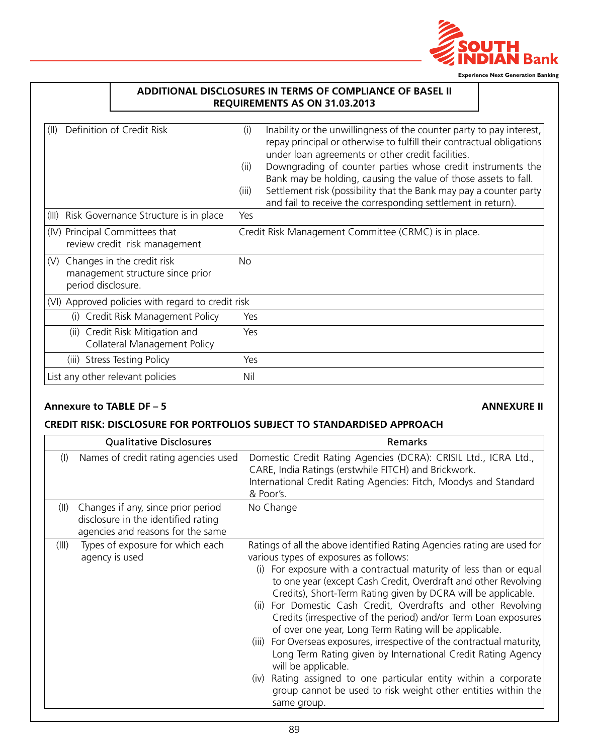

|                                                                                             |                      | ADDITIONAL DISCLOSURES IN TERMS OF COMPLIANCE OF BASEL II<br>REQUIREMENTS AS ON 31.03.2013                                                                                                                                                                                                                                                                                                                                                                                 |
|---------------------------------------------------------------------------------------------|----------------------|----------------------------------------------------------------------------------------------------------------------------------------------------------------------------------------------------------------------------------------------------------------------------------------------------------------------------------------------------------------------------------------------------------------------------------------------------------------------------|
| Definition of Credit Risk<br>(II)                                                           | (i)<br>(ii)<br>(iii) | Inability or the unwillingness of the counter party to pay interest,<br>repay principal or otherwise to fulfill their contractual obligations<br>under loan agreements or other credit facilities.<br>Downgrading of counter parties whose credit instruments the<br>Bank may be holding, causing the value of those assets to fall.<br>Settlement risk (possibility that the Bank may pay a counter party<br>and fail to receive the corresponding settlement in return). |
| Risk Governance Structure is in place<br>(III)                                              | Yes                  |                                                                                                                                                                                                                                                                                                                                                                                                                                                                            |
| (IV) Principal Committees that<br>review credit risk management                             |                      | Credit Risk Management Committee (CRMC) is in place.                                                                                                                                                                                                                                                                                                                                                                                                                       |
| Changes in the credit risk<br>(V)<br>management structure since prior<br>period disclosure. | <b>No</b>            |                                                                                                                                                                                                                                                                                                                                                                                                                                                                            |
| (VI) Approved policies with regard to credit risk                                           |                      |                                                                                                                                                                                                                                                                                                                                                                                                                                                                            |
| Credit Risk Management Policy<br>(i)                                                        | Yes                  |                                                                                                                                                                                                                                                                                                                                                                                                                                                                            |
| (ii) Credit Risk Mitigation and<br>Collateral Management Policy                             | Yes                  |                                                                                                                                                                                                                                                                                                                                                                                                                                                                            |
| (iii) Stress Testing Policy                                                                 | Yes                  |                                                                                                                                                                                                                                                                                                                                                                                                                                                                            |
| List any other relevant policies                                                            | Nil                  |                                                                                                                                                                                                                                                                                                                                                                                                                                                                            |

# **Annexure to TABLE DF – 5 ANNEXURE II**

## **Credit Risk: Disclosure for portfolios subject to Standardised Approach**

|        | <b>Qualitative Disclosures</b>                                                                                 | Remarks                                                                                                                                                                                                                                                                                                                                                                                                                                                                                                                                                                                                                                                                                                                                                                                                                                                    |
|--------|----------------------------------------------------------------------------------------------------------------|------------------------------------------------------------------------------------------------------------------------------------------------------------------------------------------------------------------------------------------------------------------------------------------------------------------------------------------------------------------------------------------------------------------------------------------------------------------------------------------------------------------------------------------------------------------------------------------------------------------------------------------------------------------------------------------------------------------------------------------------------------------------------------------------------------------------------------------------------------|
| $($  ) | Names of credit rating agencies used                                                                           | Domestic Credit Rating Agencies (DCRA): CRISIL Ltd., ICRA Ltd.,<br>CARE, India Ratings (erstwhile FITCH) and Brickwork.<br>International Credit Rating Agencies: Fitch, Moodys and Standard<br>& Poor's.                                                                                                                                                                                                                                                                                                                                                                                                                                                                                                                                                                                                                                                   |
| (II)   | Changes if any, since prior period<br>disclosure in the identified rating<br>agencies and reasons for the same | No Change                                                                                                                                                                                                                                                                                                                                                                                                                                                                                                                                                                                                                                                                                                                                                                                                                                                  |
| (III)  | Types of exposure for which each<br>agency is used                                                             | Ratings of all the above identified Rating Agencies rating are used for<br>various types of exposures as follows:<br>For exposure with a contractual maturity of less than or equal<br>(i)<br>to one year (except Cash Credit, Overdraft and other Revolving<br>Credits), Short-Term Rating given by DCRA will be applicable.<br>For Domestic Cash Credit, Overdrafts and other Revolving<br>(ii)<br>Credits (irrespective of the period) and/or Term Loan exposures<br>of over one year, Long Term Rating will be applicable.<br>For Overseas exposures, irrespective of the contractual maturity,<br>(III)<br>Long Term Rating given by International Credit Rating Agency<br>will be applicable.<br>Rating assigned to one particular entity within a corporate<br>(iv)<br>group cannot be used to risk weight other entities within the<br>same group. |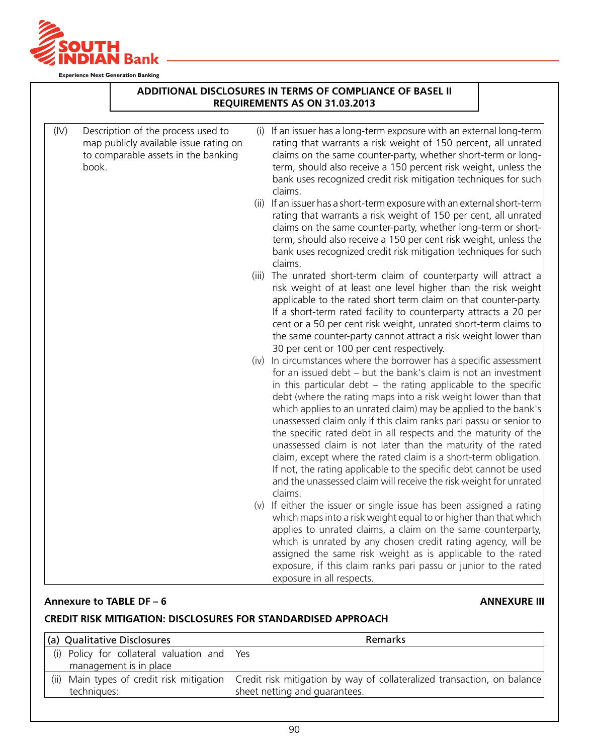

|      |                                                                                                                              | ADDITIONAL DISCLOSURES IN TERMS OF COMPLIANCE OF BASEL II<br>REQUIREMENTS AS ON 31.03.2013                                                                                                                                                                                                                                                                                                                                                                                                                                                                                                                                                                                                                                                                                     |  |
|------|------------------------------------------------------------------------------------------------------------------------------|--------------------------------------------------------------------------------------------------------------------------------------------------------------------------------------------------------------------------------------------------------------------------------------------------------------------------------------------------------------------------------------------------------------------------------------------------------------------------------------------------------------------------------------------------------------------------------------------------------------------------------------------------------------------------------------------------------------------------------------------------------------------------------|--|
| (IV) | Description of the process used to<br>map publicly available issue rating on<br>to comparable assets in the banking<br>book. | (i) If an issuer has a long-term exposure with an external long-term<br>rating that warrants a risk weight of 150 percent, all unrated<br>claims on the same counter-party, whether short-term or long-<br>term, should also receive a 150 percent risk weight, unless the<br>bank uses recognized credit risk mitigation techniques for such<br>claims.                                                                                                                                                                                                                                                                                                                                                                                                                       |  |
|      |                                                                                                                              | (ii) If an issuer has a short-term exposure with an external short-term<br>rating that warrants a risk weight of 150 per cent, all unrated<br>claims on the same counter-party, whether long-term or short-<br>term, should also receive a 150 per cent risk weight, unless the<br>bank uses recognized credit risk mitigation techniques for such<br>claims.                                                                                                                                                                                                                                                                                                                                                                                                                  |  |
|      |                                                                                                                              | (iii) The unrated short-term claim of counterparty will attract a<br>risk weight of at least one level higher than the risk weight<br>applicable to the rated short term claim on that counter-party.<br>If a short-term rated facility to counterparty attracts a 20 per<br>cent or a 50 per cent risk weight, unrated short-term claims to<br>the same counter-party cannot attract a risk weight lower than<br>30 per cent or 100 per cent respectively.                                                                                                                                                                                                                                                                                                                    |  |
|      |                                                                                                                              | (iv) In circumstances where the borrower has a specific assessment<br>for an issued debt - but the bank's claim is not an investment<br>in this particular debt $-$ the rating applicable to the specific<br>debt (where the rating maps into a risk weight lower than that<br>which applies to an unrated claim) may be applied to the bank's<br>unassessed claim only if this claim ranks pari passu or senior to<br>the specific rated debt in all respects and the maturity of the<br>unassessed claim is not later than the maturity of the rated<br>claim, except where the rated claim is a short-term obligation.<br>If not, the rating applicable to the specific debt cannot be used<br>and the unassessed claim will receive the risk weight for unrated<br>claims. |  |
|      |                                                                                                                              | (v) If either the issuer or single issue has been assigned a rating<br>which maps into a risk weight equal to or higher than that which<br>applies to unrated claims, a claim on the same counterparty,<br>which is unrated by any chosen credit rating agency, will be<br>assigned the same risk weight as is applicable to the rated<br>exposure, if this claim ranks pari passu or junior to the rated<br>exposure in all respects.                                                                                                                                                                                                                                                                                                                                         |  |

#### **Annexure to TABLE DF – 6 ANNEXURE III**

# **Credit Risk Mitigation: Disclosures for Standardised Approach**

| (a) Qualitative Disclosures                 | Remarks                                                                                                           |
|---------------------------------------------|-------------------------------------------------------------------------------------------------------------------|
| (i) Policy for collateral valuation and Yes |                                                                                                                   |
| management is in place                      |                                                                                                                   |
|                                             | (ii) Main types of credit risk mitigation Credit risk mitigation by way of collateralized transaction, on balance |
| techniques:                                 | sheet netting and guarantees.                                                                                     |
|                                             |                                                                                                                   |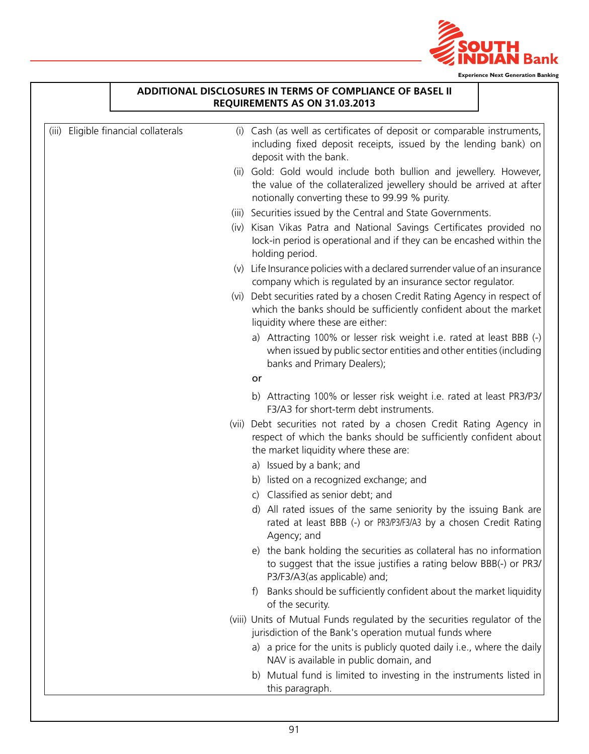

|                                      | ADDITIONAL DISCLOSURES IN TERMS OF COMPLIANCE OF BASEL II                                                                                                                                    |
|--------------------------------------|----------------------------------------------------------------------------------------------------------------------------------------------------------------------------------------------|
|                                      | REQUIREMENTS AS ON 31.03.2013                                                                                                                                                                |
| (iii) Eligible financial collaterals | (i) Cash (as well as certificates of deposit or comparable instruments,<br>including fixed deposit receipts, issued by the lending bank) on<br>deposit with the bank.                        |
|                                      | (ii) Gold: Gold would include both bullion and jewellery. However,<br>the value of the collateralized jewellery should be arrived at after<br>notionally converting these to 99.99 % purity. |
|                                      | (iii) Securities issued by the Central and State Governments.                                                                                                                                |
|                                      | (iv) Kisan Vikas Patra and National Savings Certificates provided no<br>lock-in period is operational and if they can be encashed within the<br>holding period.                              |
|                                      | (v) Life Insurance policies with a declared surrender value of an insurance<br>company which is regulated by an insurance sector regulator.                                                  |
|                                      | (vi) Debt securities rated by a chosen Credit Rating Agency in respect of<br>which the banks should be sufficiently confident about the market<br>liquidity where these are either:          |
|                                      | a) Attracting 100% or lesser risk weight i.e. rated at least BBB (-)<br>when issued by public sector entities and other entities (including<br>banks and Primary Dealers);                   |
|                                      | or                                                                                                                                                                                           |
|                                      | b) Attracting 100% or lesser risk weight i.e. rated at least PR3/P3/<br>F3/A3 for short-term debt instruments.                                                                               |
|                                      | (vii) Debt securities not rated by a chosen Credit Rating Agency in<br>respect of which the banks should be sufficiently confident about<br>the market liquidity where these are:            |
|                                      | a) Issued by a bank; and                                                                                                                                                                     |
|                                      | b) listed on a recognized exchange; and                                                                                                                                                      |
|                                      | c) Classified as senior debt; and                                                                                                                                                            |
|                                      | d) All rated issues of the same seniority by the issuing Bank are<br>rated at least BBB (-) or PR3/P3/F3/A3 by a chosen Credit Rating<br>Agency; and                                         |
|                                      | e) the bank holding the securities as collateral has no information<br>to suggest that the issue justifies a rating below BBB(-) or PR3/<br>P3/F3/A3(as applicable) and;                     |
|                                      | Banks should be sufficiently confident about the market liquidity<br>$\ddagger$<br>of the security.                                                                                          |
|                                      | (viii) Units of Mutual Funds regulated by the securities regulator of the<br>jurisdiction of the Bank's operation mutual funds where                                                         |
|                                      | a) a price for the units is publicly quoted daily i.e., where the daily<br>NAV is available in public domain, and                                                                            |
|                                      | b) Mutual fund is limited to investing in the instruments listed in<br>this paragraph.                                                                                                       |